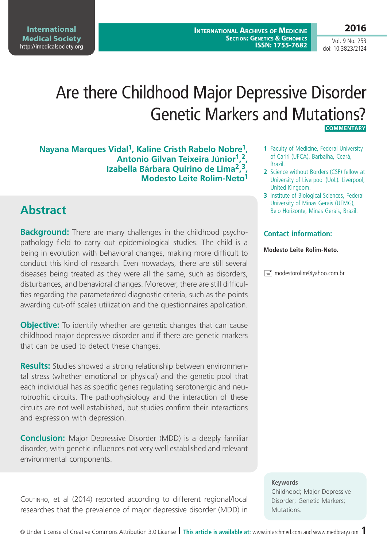**International Archives of Medicine SECTION: GENETICS & GENOMICS ISSN: 1755-7682**

**International Medical Society**  http://imedicalsociety.org

**2016** Vol. 9 No. 253

doi: 10.3823/2124

# Are there Childhood Major Depressive Disorder Genetic Markers and Mutations? **COMMENTARY**

**Nayana Marques Vidal1, Kaline Cristh Rabelo Nobre1, Antonio Gilvan Teixeira Júnior1, 2, Izabella Bárbara Quirino de Lima2, 3, Modesto Leite Rolim-Neto1**

## **Abstract**

**Background:** There are many challenges in the childhood psychopathology field to carry out epidemiological studies. The child is a being in evolution with behavioral changes, making more difficult to conduct this kind of research. Even nowadays, there are still several diseases being treated as they were all the same, such as disorders, disturbances, and behavioral changes. Moreover, there are still difficulties regarding the parameterized diagnostic criteria, such as the points awarding cut-off scales utilization and the questionnaires application.

**Objective:** To identify whether are genetic changes that can cause childhood major depressive disorder and if there are genetic markers that can be used to detect these changes.

**Results:** Studies showed a strong relationship between environmental stress (whether emotional or physical) and the genetic pool that each individual has as specific genes regulating serotonergic and neurotrophic circuits. The pathophysiology and the interaction of these circuits are not well established, but studies confirm their interactions and expression with depression.

**Conclusion:** Major Depressive Disorder (MDD) is a deeply familiar disorder, with genetic influences not very well established and relevant environmental components.

Coutinho, et al (2014) reported according to different regional/local researches that the prevalence of major depressive disorder (MDD) in

- **1** Faculty of Medicine, Federal University of Cariri (UFCA). Barbalha, Ceará, Brazil.
- **2** Science without Borders (CSF) fellow at University of Liverpool (UoL). Liverpool, United Kingdom.
- **3** Institute of Biological Sciences, Federal University of Minas Gerais (UFMG), Belo Horizonte, Minas Gerais, Brazil.

### **Contact information:**

#### **Modesto Leite Rolim-Neto.**

 $\equiv$  modestorolim@yahoo.com.br

#### **Keywords**

Childhood; Major Depressive Disorder; Genetic Markers; Mutations.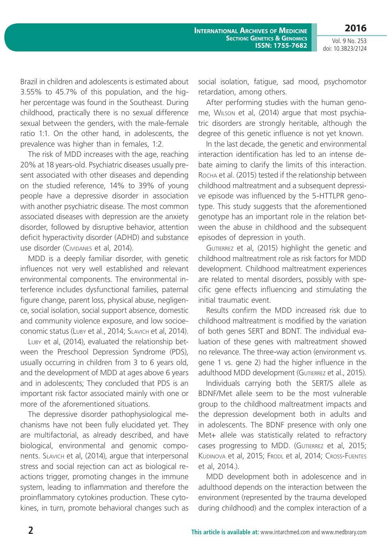**International Archives of Medicine SECTION: GENETICS & GENOMICS ISSN: 1755-7682**

Vol. 9 No. 253 doi: 10.3823/2124

**2016**

Brazil in children and adolescents is estimated about 3.55% to 45.7% of this population, and the higher percentage was found in the Southeast. During childhood, practically there is no sexual difference sexual between the genders, with the male-female ratio 1:1. On the other hand, in adolescents, the prevalence was higher than in females, 1:2.

The risk of MDD increases with the age, reaching 20% at 18 years-old. Psychiatric diseases usually present associated with other diseases and depending on the studied reference, 14% to 39% of young people have a depressive disorder in association with another psychiatric disease. The most common associated diseases with depression are the anxiety disorder, followed by disruptive behavior, attention deficit hyperactivity disorder (ADHD) and substance use disorder (CIVIDANES et al, 2014).

MDD is a deeply familiar disorder, with genetic influences not very well established and relevant environmental components. The environmental interference includes dysfunctional families, paternal figure change, parent loss, physical abuse, negligence, social isolation, social support absence, domestic and community violence exposure, and low socioeconomic status (Luby et al., 2014; Slavich et al, 2014).

Luby et al, (2014), evaluated the relationship between the Preschool Depression Syndrome (PDS), usually occurring in children from 3 to 6 years old, and the development of MDD at ages above 6 years and in adolescents; They concluded that PDS is an important risk factor associated mainly with one or more of the aforementioned situations.

The depressive disorder pathophysiological mechanisms have not been fully elucidated yet. They are multifactorial, as already described, and have biological, environmental and genomic components. Slavich et al, (2014), argue that interpersonal stress and social rejection can act as biological reactions trigger, promoting changes in the immune system, leading to inflammation and therefore the proinflammatory cytokines production. These cytokines, in turn, promote behavioral changes such as social isolation, fatigue, sad mood, psychomotor retardation, among others.

After performing studies with the human genome, Wilson et al, (2014) argue that most psychiatric disorders are strongly heritable, although the degree of this genetic influence is not yet known.

In the last decade, the genetic and environmental interaction identification has led to an intense debate aiming to clarify the limits of this interaction. Rocha et al. (2015) tested if the relationship between childhood maltreatment and a subsequent depressive episode was influenced by the 5-HTTLPR genotype. This study suggests that the aforementioned genotype has an important role in the relation between the abuse in childhood and the subsequent episodes of depression in youth.

GUTIERREZ et al, (2015) highlight the genetic and childhood maltreatment role as risk factors for MDD development. Childhood maltreatment experiences are related to mental disorders, possibly with specific gene effects influencing and stimulating the initial traumatic event.

Results confirm the MDD increased risk due to childhood maltreatment is modified by the variation of both genes SERT and BDNT. The individual evaluation of these genes with maltreatment showed no relevance. The three-way action (environment vs. gene 1 vs. gene 2) had the higher influence in the adulthood MDD development (GUTIERREZ et al., 2015).

Individuals carrying both the SERT/S allele as BDNF/Met allele seem to be the most vulnerable group to the childhood maltreatment impacts and the depression development both in adults and in adolescents. The BDNF presence with only one Met+ allele was statistically related to refractory cases progressing to MDD. (GUTIERREZ et al, 2015; KUDINOVA et al, 2015; FRODL et al, 2014; CROSS-FUENTES et al, 2014.).

MDD development both in adolescence and in adulthood depends on the interaction between the environment (represented by the trauma developed during childhood) and the complex interaction of a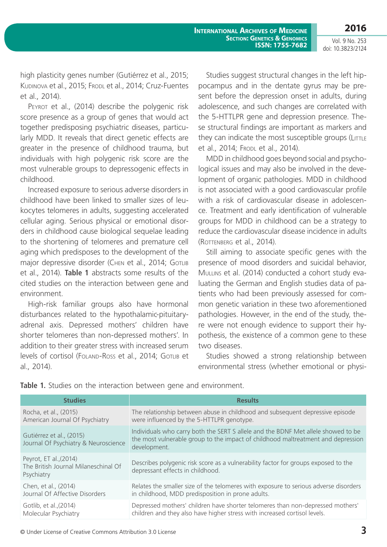**International Archives of Medicine SECTION: GENETICS & GENOMICS ISSN: 1755-7682**

Vol. 9 No. 253 doi: 10.3823/2124

**2016**

high plasticity genes number (Gutiérrez et al., 2015; KUDINOVA et al., 2015; FRODL et al., 2014; Cruz-Fuentes et al., 2014).

PEYROT et al., (2014) describe the polygenic risk score presence as a group of genes that would act together predisposing psychiatric diseases, particularly MDD. It reveals that direct genetic effects are greater in the presence of childhood trauma, but individuals with high polygenic risk score are the most vulnerable groups to depressogenic effects in childhood.

Increased exposure to serious adverse disorders in childhood have been linked to smaller sizes of leukocytes telomeres in adults, suggesting accelerated cellular aging. Serious physical or emotional disorders in childhood cause biological sequelae leading to the shortening of telomeres and premature cell aging which predisposes to the development of the major depressive disorder (CHEN et al., 2014; GOTLIB et al., 2014). **Table 1** abstracts some results of the cited studies on the interaction between gene and environment.

High-risk familiar groups also have hormonal disturbances related to the hypothalamic-pituitaryadrenal axis. Depressed mothers' children have shorter telomeres than non-depressed mothers'. In addition to their greater stress with increased serum levels of cortisol (FOLAND-Ross et al., 2014; GOTLIB et al., 2014).

Studies suggest structural changes in the left hippocampus and in the dentate gyrus may be present before the depression onset in adults, during adolescence, and such changes are correlated with the 5-HTTLPR gene and depression presence. These structural findings are important as markers and they can indicate the most susceptible groups (LITTLE et al., 2014; Fropl et al., 2014).

MDD in childhood goes beyond social and psychological issues and may also be involved in the development of organic pathologies. MDD in childhood is not associated with a good cardiovascular profile with a risk of cardiovascular disease in adolescence. Treatment and early identification of vulnerable groups for MDD in childhood can be a strategy to reduce the cardiovascular disease incidence in adults (Rottenberg et al., 2014).

Still aiming to associate specific genes with the presence of mood disorders and suicidal behavior, MULLINS et al. (2014) conducted a cohort study evaluating the German and English studies data of patients who had been previously assessed for common genetic variation in these two aforementioned pathologies. However, in the end of the study, there were not enough evidence to support their hypothesis, the existence of a common gene to these two diseases.

Studies showed a strong relationship between environmental stress (whether emotional or physi-

| <b>Studies</b>                                                               | <b>Results</b>                                                                                                                                                                        |
|------------------------------------------------------------------------------|---------------------------------------------------------------------------------------------------------------------------------------------------------------------------------------|
| Rocha, et al., (2015)                                                        | The relationship between abuse in childhood and subsequent depressive episode                                                                                                         |
| American Journal Of Psychiatry                                               | were influenced by the 5-HTTLPR genotype.                                                                                                                                             |
| Gutiérrez et al., (2015)<br>Journal Of Psychiatry & Neuroscience             | Individuals who carry both the SERT S allele and the BDNF Met allele showed to be<br>the most vulnerable group to the impact of childhood maltreatment and depression<br>development. |
| Peyrot, ET al., (2014)<br>The British Journal Milaneschinal Of<br>Psychiatry | Describes polygenic risk score as a vulnerability factor for groups exposed to the<br>depressant effects in childhood.                                                                |
| Chen, et al., (2014)                                                         | Relates the smaller size of the telomeres with exposure to serious adverse disorders                                                                                                  |
| Journal Of Affective Disorders                                               | in childhood, MDD predisposition in prone adults.                                                                                                                                     |
| Gotlib, et al., (2014)                                                       | Depressed mothers' children have shorter telomeres than non-depressed mothers'                                                                                                        |
| Molecular Psychiatry                                                         | children and they also have higher stress with increased cortisol levels.                                                                                                             |

**Table 1.** Studies on the interaction between gene and environment.